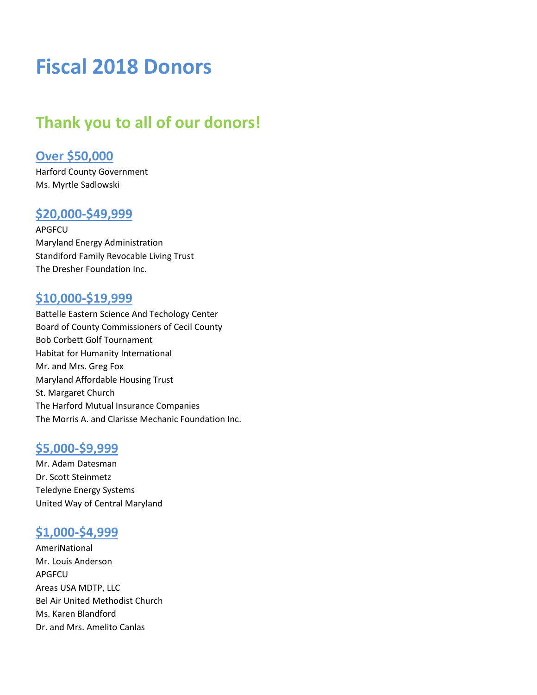# **Fiscal 2018 Donors**

# **Thank you to all of our donors!**

#### **Over \$50,000**

Harford County Government Ms. Myrtle Sadlowski

#### **\$20,000-\$49,999**

APGFCU Maryland Energy Administration Standiford Family Revocable Living Trust The Dresher Foundation Inc.

#### **\$10,000-\$19,999**

Battelle Eastern Science And Techology Center Board of County Commissioners of Cecil County Bob Corbett Golf Tournament Habitat for Humanity International Mr. and Mrs. Greg Fox Maryland Affordable Housing Trust St. Margaret Church The Harford Mutual Insurance Companies The Morris A. and Clarisse Mechanic Foundation Inc.

# **\$5,000-\$9,999**

Mr. Adam Datesman Dr. Scott Steinmetz Teledyne Energy Systems United Way of Central Maryland

# **\$1,000-\$4,999**

AmeriNational Mr. Louis Anderson APGFCU Areas USA MDTP, LLC Bel Air United Methodist Church Ms. Karen Blandford Dr. and Mrs. Amelito Canlas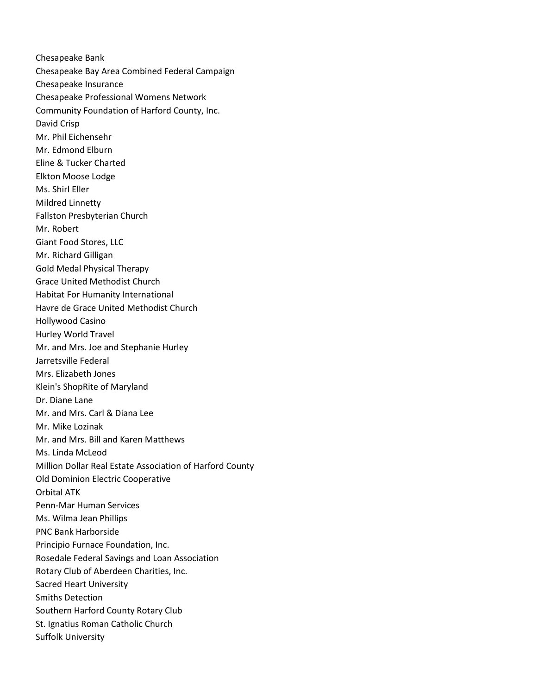Chesapeake Bank Chesapeake Bay Area Combined Federal Campaign Chesapeake Insurance Chesapeake Professional Womens Network Community Foundation of Harford County, Inc. David Crisp Mr. Phil Eichensehr Mr. Edmond Elburn Eline & Tucker Charted Elkton Moose Lodge Ms. Shirl Eller Mildred Linnetty Fallston Presbyterian Church Mr. Robert Giant Food Stores, LLC Mr. Richard Gilligan Gold Medal Physical Therapy Grace United Methodist Church Habitat For Humanity International Havre de Grace United Methodist Church Hollywood Casino Hurley World Travel Mr. and Mrs. Joe and Stephanie Hurley Jarretsville Federal Mrs. Elizabeth Jones Klein's ShopRite of Maryland Dr. Diane Lane Mr. and Mrs. Carl & Diana Lee Mr. Mike Lozinak Mr. and Mrs. Bill and Karen Matthews Ms. Linda McLeod Million Dollar Real Estate Association of Harford County Old Dominion Electric Cooperative Orbital ATK Penn-Mar Human Services Ms. Wilma Jean Phillips PNC Bank Harborside Principio Furnace Foundation, Inc. Rosedale Federal Savings and Loan Association Rotary Club of Aberdeen Charities, Inc. Sacred Heart University Smiths Detection Southern Harford County Rotary Club St. Ignatius Roman Catholic Church Suffolk University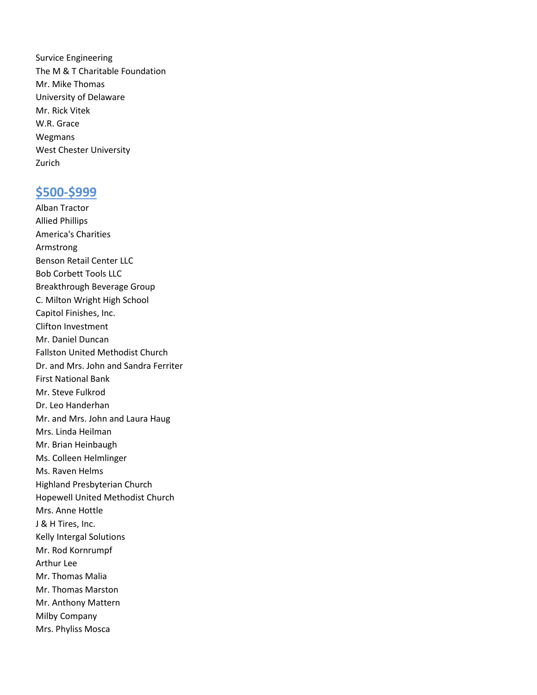Survice Engineering The M & T Charitable Foundation Mr. Mike Thomas University of Delaware Mr. Rick Vitek W.R. Grace Wegmans West Chester University Zurich

### **\$500-\$999**

Alban Tractor Allied Phillips America's Charities Armstrong Benson Retail Center LLC Bob Corbett Tools LLC Breakthrough Beverage Group C. Milton Wright High School Capitol Finishes, Inc. Clifton Investment Mr. Daniel Duncan Fallston United Methodist Church Dr. and Mrs. John and Sandra Ferriter First National Bank Mr. Steve Fulkrod Dr. Leo Handerhan Mr. and Mrs. John and Laura Haug Mrs. Linda Heilman Mr. Brian Heinbaugh Ms. Colleen Helmlinger Ms. Raven Helms Highland Presbyterian Church Hopewell United Methodist Church Mrs. Anne Hottle J & H Tires, Inc. Kelly Intergal Solutions Mr. Rod Kornrumpf Arthur Lee Mr. Thomas Malia Mr. Thomas Marston Mr. Anthony Mattern Milby Company Mrs. Phyliss Mosca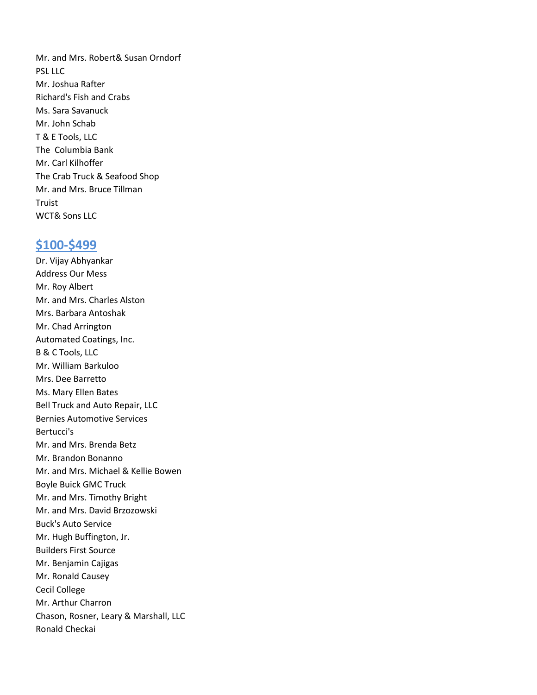Mr. and Mrs. Robert& Susan Orndorf PSL LLC Mr. Joshua Rafter Richard's Fish and Crabs Ms. Sara Savanuck Mr. John Schab T & E Tools, LLC The Columbia Bank Mr. Carl Kilhoffer The Crab Truck & Seafood Shop Mr. and Mrs. Bruce Tillman Truist WCT& Sons LLC

#### **\$100-\$499**

Dr. Vijay Abhyankar Address Our Mess Mr. Roy Albert Mr. and Mrs. Charles Alston Mrs. Barbara Antoshak Mr. Chad Arrington Automated Coatings, Inc. B & C Tools, LLC Mr. William Barkuloo Mrs. Dee Barretto Ms. Mary Ellen Bates Bell Truck and Auto Repair, LLC Bernies Automotive Services Bertucci's Mr. and Mrs. Brenda Betz Mr. Brandon Bonanno Mr. and Mrs. Michael & Kellie Bowen Boyle Buick GMC Truck Mr. and Mrs. Timothy Bright Mr. and Mrs. David Brzozowski Buck's Auto Service Mr. Hugh Buffington, Jr. Builders First Source Mr. Benjamin Cajigas Mr. Ronald Causey Cecil College Mr. Arthur Charron Chason, Rosner, Leary & Marshall, LLC Ronald Checkai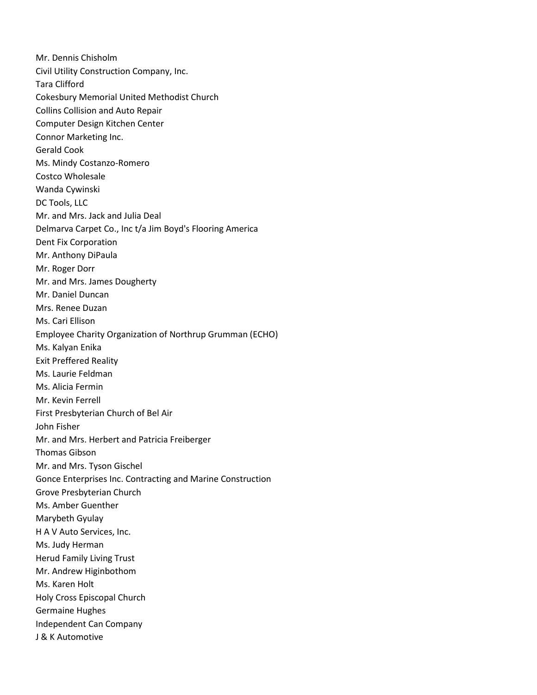Mr. Dennis Chisholm Civil Utility Construction Company, Inc. Tara Clifford Cokesbury Memorial United Methodist Church Collins Collision and Auto Repair Computer Design Kitchen Center Connor Marketing Inc. Gerald Cook Ms. Mindy Costanzo-Romero Costco Wholesale Wanda Cywinski DC Tools, LLC Mr. and Mrs. Jack and Julia Deal Delmarva Carpet Co., Inc t/a Jim Boyd's Flooring America Dent Fix Corporation Mr. Anthony DiPaula Mr. Roger Dorr Mr. and Mrs. James Dougherty Mr. Daniel Duncan Mrs. Renee Duzan Ms. Cari Ellison Employee Charity Organization of Northrup Grumman (ECHO) Ms. Kalyan Enika Exit Preffered Reality Ms. Laurie Feldman Ms. Alicia Fermin Mr. Kevin Ferrell First Presbyterian Church of Bel Air John Fisher Mr. and Mrs. Herbert and Patricia Freiberger Thomas Gibson Mr. and Mrs. Tyson Gischel Gonce Enterprises Inc. Contracting and Marine Construction Grove Presbyterian Church Ms. Amber Guenther Marybeth Gyulay H A V Auto Services, Inc. Ms. Judy Herman Herud Family Living Trust Mr. Andrew Higinbothom Ms. Karen Holt Holy Cross Episcopal Church Germaine Hughes Independent Can Company J & K Automotive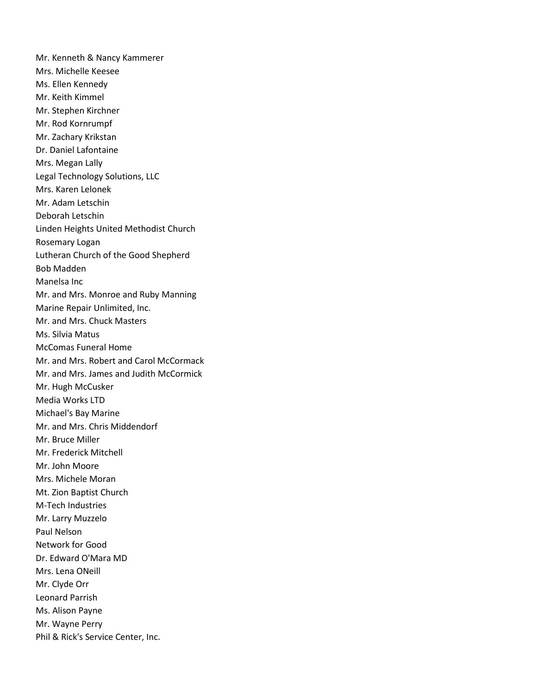Mr. Kenneth & Nancy Kammerer Mrs. Michelle Keesee Ms. Ellen Kennedy Mr. Keith Kimmel Mr. Stephen Kirchner Mr. Rod Kornrumpf Mr. Zachary Krikstan Dr. Daniel Lafontaine Mrs. Megan Lally Legal Technology Solutions, LLC Mrs. Karen Lelonek Mr. Adam Letschin Deborah Letschin Linden Heights United Methodist Church Rosemary Logan Lutheran Church of the Good Shepherd Bob Madden Manelsa Inc Mr. and Mrs. Monroe and Ruby Manning Marine Repair Unlimited, Inc. Mr. and Mrs. Chuck Masters Ms. Silvia Matus McComas Funeral Home Mr. and Mrs. Robert and Carol McCormack Mr. and Mrs. James and Judith McCormick Mr. Hugh McCusker Media Works LTD Michael's Bay Marine Mr. and Mrs. Chris Middendorf Mr. Bruce Miller Mr. Frederick Mitchell Mr. John Moore Mrs. Michele Moran Mt. Zion Baptist Church M-Tech Industries Mr. Larry Muzzelo Paul Nelson Network for Good Dr. Edward O'Mara MD Mrs. Lena ONeill Mr. Clyde Orr Leonard Parrish Ms. Alison Payne Mr. Wayne Perry Phil & Rick's Service Center, Inc.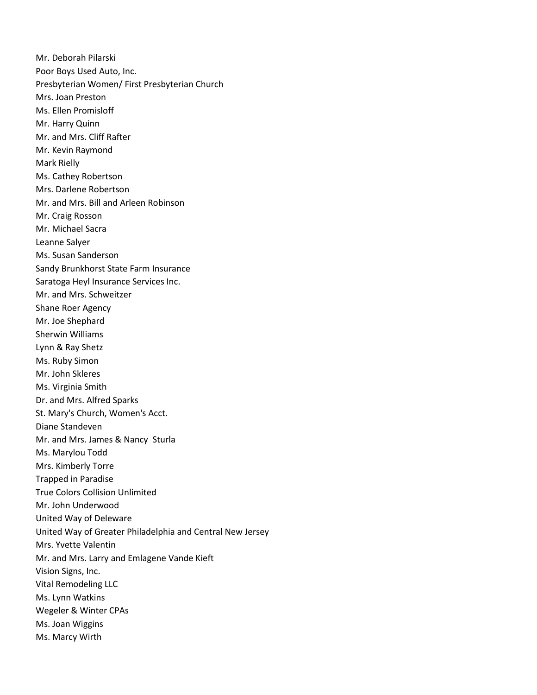Mr. Deborah Pilarski Poor Boys Used Auto, Inc. Presbyterian Women/ First Presbyterian Church Mrs. Joan Preston Ms. Ellen Promisloff Mr. Harry Quinn Mr. and Mrs. Cliff Rafter Mr. Kevin Raymond Mark Rielly Ms. Cathey Robertson Mrs. Darlene Robertson Mr. and Mrs. Bill and Arleen Robinson Mr. Craig Rosson Mr. Michael Sacra Leanne Salyer Ms. Susan Sanderson Sandy Brunkhorst State Farm Insurance Saratoga Heyl Insurance Services Inc. Mr. and Mrs. Schweitzer Shane Roer Agency Mr. Joe Shephard Sherwin Williams Lynn & Ray Shetz Ms. Ruby Simon Mr. John Skleres Ms. Virginia Smith Dr. and Mrs. Alfred Sparks St. Mary's Church, Women's Acct. Diane Standeven Mr. and Mrs. James & Nancy Sturla Ms. Marylou Todd Mrs. Kimberly Torre Trapped in Paradise True Colors Collision Unlimited Mr. John Underwood United Way of Deleware United Way of Greater Philadelphia and Central New Jersey Mrs. Yvette Valentin Mr. and Mrs. Larry and Emlagene Vande Kieft Vision Signs, Inc. Vital Remodeling LLC Ms. Lynn Watkins Wegeler & Winter CPAs Ms. Joan Wiggins Ms. Marcy Wirth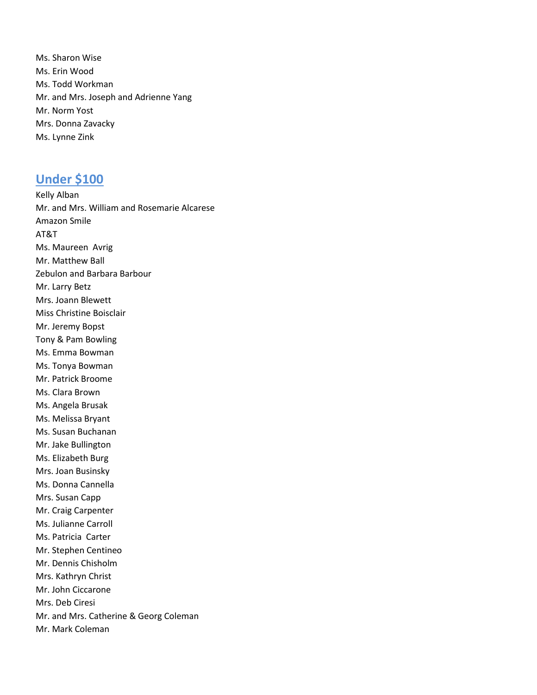Ms. Sharon Wise Ms. Erin Wood Ms. Todd Workman Mr. and Mrs. Joseph and Adrienne Yang Mr. Norm Yost Mrs. Donna Zavacky Ms. Lynne Zink

#### **Under \$100**

Kelly Alban Mr. and Mrs. William and Rosemarie Alcarese Amazon Smile AT&T Ms. Maureen Avrig Mr. Matthew Ball Zebulon and Barbara Barbour Mr. Larry Betz Mrs. Joann Blewett Miss Christine Boisclair Mr. Jeremy Bopst Tony & Pam Bowling Ms. Emma Bowman Ms. Tonya Bowman Mr. Patrick Broome Ms. Clara Brown Ms. Angela Brusak Ms. Melissa Bryant Ms. Susan Buchanan Mr. Jake Bullington Ms. Elizabeth Burg Mrs. Joan Businsky Ms. Donna Cannella Mrs. Susan Capp Mr. Craig Carpenter Ms. Julianne Carroll Ms. Patricia Carter Mr. Stephen Centineo Mr. Dennis Chisholm Mrs. Kathryn Christ Mr. John Ciccarone Mrs. Deb Ciresi Mr. and Mrs. Catherine & Georg Coleman Mr. Mark Coleman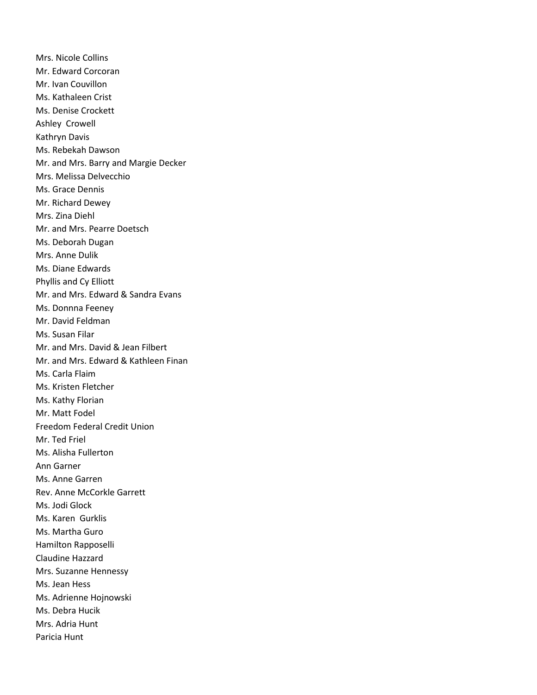Mrs. Nicole Collins Mr. Edward Corcoran Mr. Ivan Couvillon Ms. Kathaleen Crist Ms. Denise Crockett Ashley Crowell Kathryn Davis Ms. Rebekah Dawson Mr. and Mrs. Barry and Margie Decker Mrs. Melissa Delvecchio Ms. Grace Dennis Mr. Richard Dewey Mrs. Zina Diehl Mr. and Mrs. Pearre Doetsch Ms. Deborah Dugan Mrs. Anne Dulik Ms. Diane Edwards Phyllis and Cy Elliott Mr. and Mrs. Edward & Sandra Evans Ms. Donnna Feeney Mr. David Feldman Ms. Susan Filar Mr. and Mrs. David & Jean Filbert Mr. and Mrs. Edward & Kathleen Finan Ms. Carla Flaim Ms. Kristen Fletcher Ms. Kathy Florian Mr. Matt Fodel Freedom Federal Credit Union Mr. Ted Friel Ms. Alisha Fullerton Ann Garner Ms. Anne Garren Rev. Anne McCorkle Garrett Ms. Jodi Glock Ms. Karen Gurklis Ms. Martha Guro Hamilton Rapposelli Claudine Hazzard Mrs. Suzanne Hennessy Ms. Jean Hess Ms. Adrienne Hojnowski Ms. Debra Hucik Mrs. Adria Hunt Paricia Hunt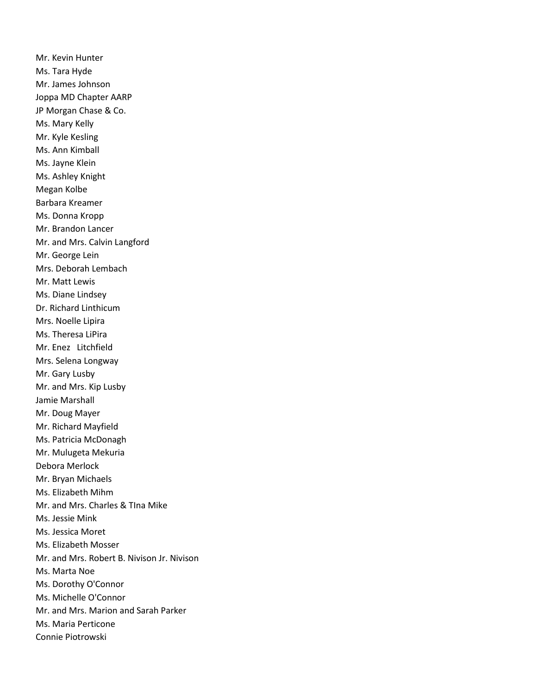Mr. Kevin Hunter Ms. Tara Hyde Mr. James Johnson Joppa MD Chapter AARP JP Morgan Chase & Co. Ms. Mary Kelly Mr. Kyle Kesling Ms. Ann Kimball Ms. Jayne Klein Ms. Ashley Knight Megan Kolbe Barbara Kreamer Ms. Donna Kropp Mr. Brandon Lancer Mr. and Mrs. Calvin Langford Mr. George Lein Mrs. Deborah Lembach Mr. Matt Lewis Ms. Diane Lindsey Dr. Richard Linthicum Mrs. Noelle Lipira Ms. Theresa LiPira Mr. Enez Litchfield Mrs. Selena Longway Mr. Gary Lusby Mr. and Mrs. Kip Lusby Jamie Marshall Mr. Doug Mayer Mr. Richard Mayfield Ms. Patricia McDonagh Mr. Mulugeta Mekuria Debora Merlock Mr. Bryan Michaels Ms. Elizabeth Mihm Mr. and Mrs. Charles & TIna Mike Ms. Jessie Mink Ms. Jessica Moret Ms. Elizabeth Mosser Mr. and Mrs. Robert B. Nivison Jr. Nivison Ms. Marta Noe Ms. Dorothy O'Connor Ms. Michelle O'Connor Mr. and Mrs. Marion and Sarah Parker Ms. Maria Perticone Connie Piotrowski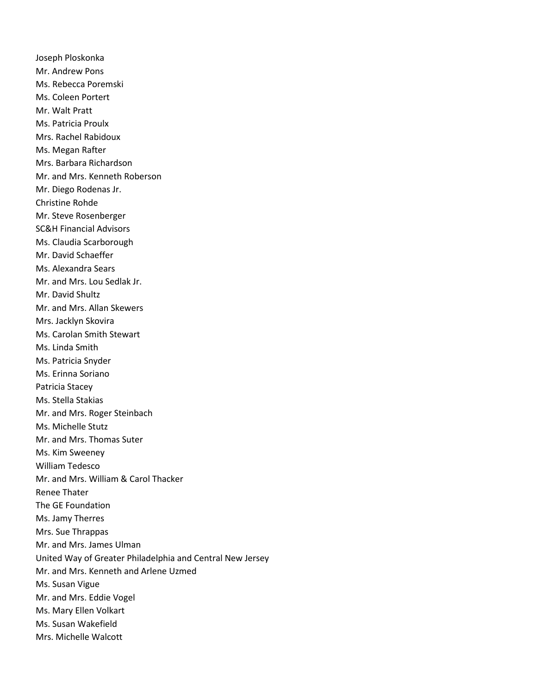Joseph Ploskonka Mr. Andrew Pons Ms. Rebecca Poremski Ms. Coleen Portert Mr. Walt Pratt Ms. Patricia Proulx Mrs. Rachel Rabidoux Ms. Megan Rafter Mrs. Barbara Richardson Mr. and Mrs. Kenneth Roberson Mr. Diego Rodenas Jr. Christine Rohde Mr. Steve Rosenberger SC&H Financial Advisors Ms. Claudia Scarborough Mr. David Schaeffer Ms. Alexandra Sears Mr. and Mrs. Lou Sedlak Jr. Mr. David Shultz Mr. and Mrs. Allan Skewers Mrs. Jacklyn Skovira Ms. Carolan Smith Stewart Ms. Linda Smith Ms. Patricia Snyder Ms. Erinna Soriano Patricia Stacey Ms. Stella Stakias Mr. and Mrs. Roger Steinbach Ms. Michelle Stutz Mr. and Mrs. Thomas Suter Ms. Kim Sweeney William Tedesco Mr. and Mrs. William & Carol Thacker Renee Thater The GE Foundation Ms. Jamy Therres Mrs. Sue Thrappas Mr. and Mrs. James Ulman United Way of Greater Philadelphia and Central New Jersey Mr. and Mrs. Kenneth and Arlene Uzmed Ms. Susan Vigue Mr. and Mrs. Eddie Vogel Ms. Mary Ellen Volkart Ms. Susan Wakefield Mrs. Michelle Walcott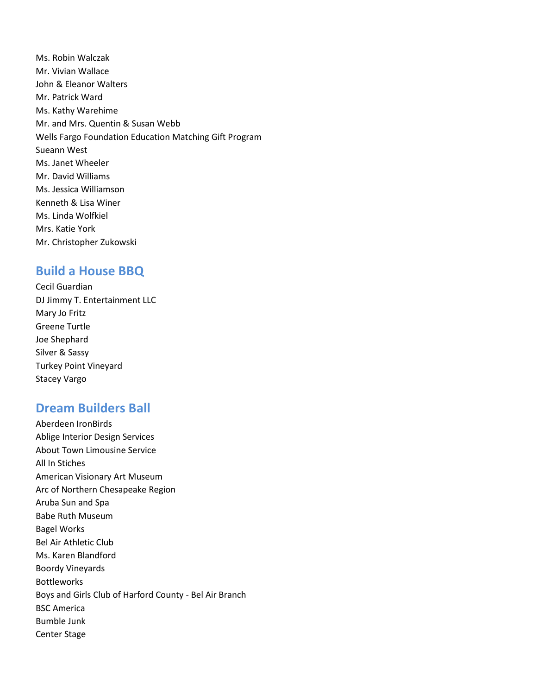Ms. Robin Walczak Mr. Vivian Wallace John & Eleanor Walters Mr. Patrick Ward Ms. Kathy Warehime Mr. and Mrs. Quentin & Susan Webb Wells Fargo Foundation Education Matching Gift Program Sueann West Ms. Janet Wheeler Mr. David Williams Ms. Jessica Williamson Kenneth & Lisa Winer Ms. Linda Wolfkiel Mrs. Katie York Mr. Christopher Zukowski

#### **Build a House BBQ**

Cecil Guardian DJ Jimmy T. Entertainment LLC Mary Jo Fritz Greene Turtle Joe Shephard Silver & Sassy Turkey Point Vineyard Stacey Vargo

#### **Dream Builders Ball**

Aberdeen IronBirds Ablige Interior Design Services About Town Limousine Service All In Stiches American Visionary Art Museum Arc of Northern Chesapeake Region Aruba Sun and Spa Babe Ruth Museum Bagel Works Bel Air Athletic Club Ms. Karen Blandford Boordy Vineyards Bottleworks Boys and Girls Club of Harford County - Bel Air Branch BSC America Bumble Junk Center Stage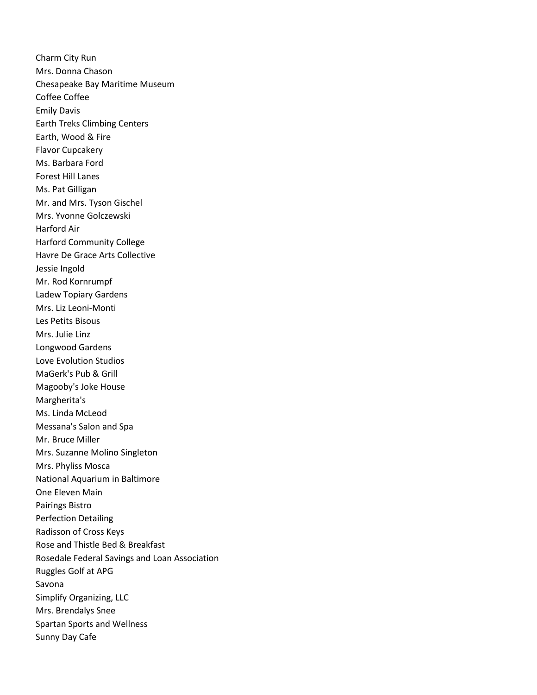Charm City Run Mrs. Donna Chason Chesapeake Bay Maritime Museum Coffee Coffee Emily Davis Earth Treks Climbing Centers Earth, Wood & Fire Flavor Cupcakery Ms. Barbara Ford Forest Hill Lanes Ms. Pat Gilligan Mr. and Mrs. Tyson Gischel Mrs. Yvonne Golczewski Harford Air Harford Community College Havre De Grace Arts Collective Jessie Ingold Mr. Rod Kornrumpf Ladew Topiary Gardens Mrs. Liz Leoni-Monti Les Petits Bisous Mrs. Julie Linz Longwood Gardens Love Evolution Studios MaGerk's Pub & Grill Magooby's Joke House Margherita's Ms. Linda McLeod Messana's Salon and Spa Mr. Bruce Miller Mrs. Suzanne Molino Singleton Mrs. Phyliss Mosca National Aquarium in Baltimore One Eleven Main Pairings Bistro Perfection Detailing Radisson of Cross Keys Rose and Thistle Bed & Breakfast Rosedale Federal Savings and Loan Association Ruggles Golf at APG Savona Simplify Organizing, LLC Mrs. Brendalys Snee Spartan Sports and Wellness Sunny Day Cafe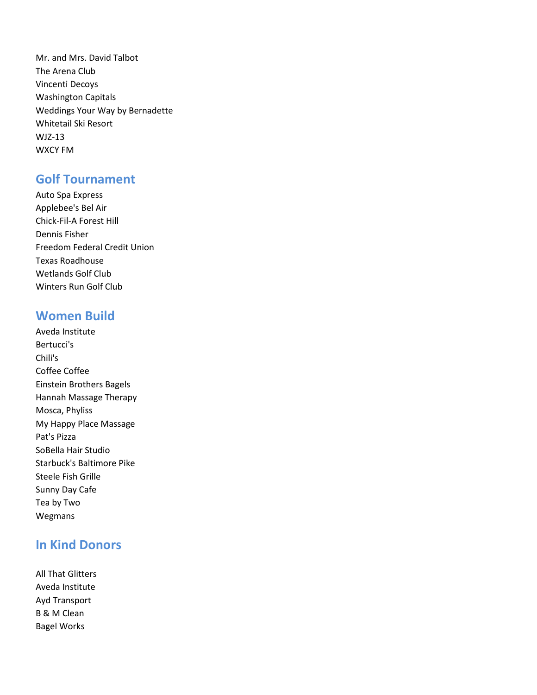Mr. and Mrs. David Talbot The Arena Club Vincenti Decoys Washington Capitals Weddings Your Way by Bernadette Whitetail Ski Resort WJZ-13 WXCY FM

#### **Golf Tournament**

Auto Spa Express Applebee's Bel Air Chick-Fil-A Forest Hill Dennis Fisher Freedom Federal Credit Union Texas Roadhouse Wetlands Golf Club Winters Run Golf Club

#### **Women Build**

Aveda Institute Bertucci's Chili's Coffee Coffee Einstein Brothers Bagels Hannah Massage Therapy Mosca, Phyliss My Happy Place Massage Pat's Pizza SoBella Hair Studio Starbuck's Baltimore Pike Steele Fish Grille Sunny Day Cafe Tea by Two Wegmans

#### **In Kind Donors**

All That Glitters Aveda Institute Ayd Transport B & M Clean Bagel Works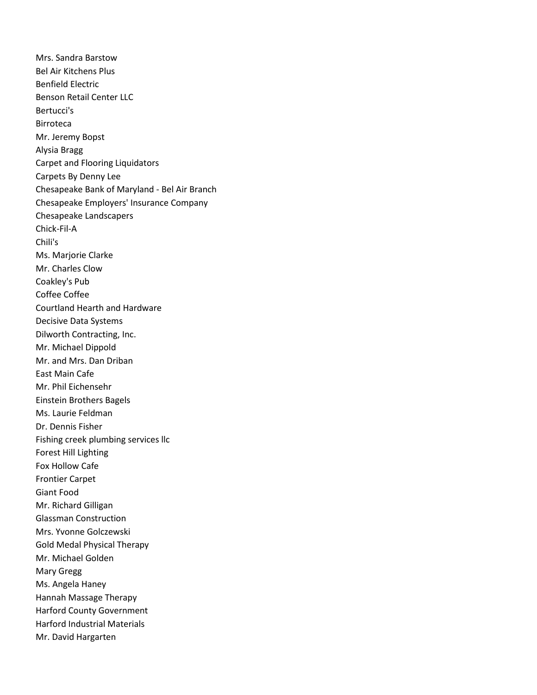Mrs. Sandra Barstow Bel Air Kitchens Plus Benfield Electric Benson Retail Center LLC Bertucci's Birroteca Mr. Jeremy Bopst Alysia Bragg Carpet and Flooring Liquidators Carpets By Denny Lee Chesapeake Bank of Maryland - Bel Air Branch Chesapeake Employers' Insurance Company Chesapeake Landscapers Chick-Fil-A Chili's Ms. Marjorie Clarke Mr. Charles Clow Coakley's Pub Coffee Coffee Courtland Hearth and Hardware Decisive Data Systems Dilworth Contracting, Inc. Mr. Michael Dippold Mr. and Mrs. Dan Driban East Main Cafe Mr. Phil Eichensehr Einstein Brothers Bagels Ms. Laurie Feldman Dr. Dennis Fisher Fishing creek plumbing services llc Forest Hill Lighting Fox Hollow Cafe Frontier Carpet Giant Food Mr. Richard Gilligan Glassman Construction Mrs. Yvonne Golczewski Gold Medal Physical Therapy Mr. Michael Golden Mary Gregg Ms. Angela Haney Hannah Massage Therapy Harford County Government Harford Industrial Materials Mr. David Hargarten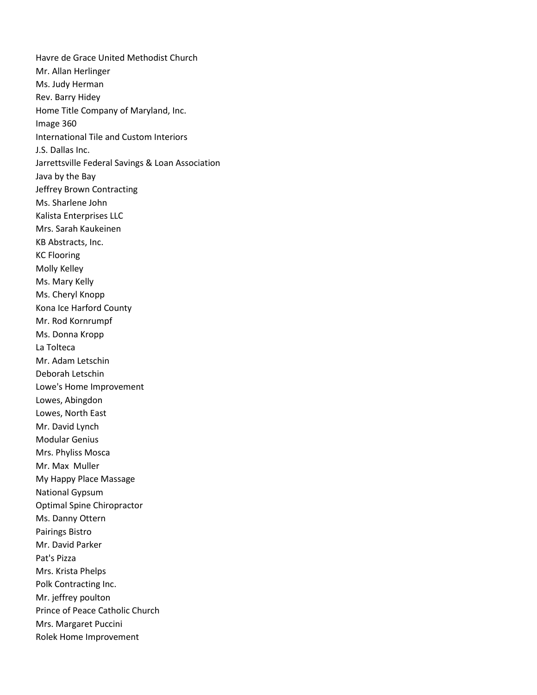Havre de Grace United Methodist Church Mr. Allan Herlinger Ms. Judy Herman Rev. Barry Hidey Home Title Company of Maryland, Inc. Image 360 International Tile and Custom Interiors J.S. Dallas Inc. Jarrettsville Federal Savings & Loan Association Java by the Bay Jeffrey Brown Contracting Ms. Sharlene John Kalista Enterprises LLC Mrs. Sarah Kaukeinen KB Abstracts, Inc. KC Flooring Molly Kelley Ms. Mary Kelly Ms. Cheryl Knopp Kona Ice Harford County Mr. Rod Kornrumpf Ms. Donna Kropp La Tolteca Mr. Adam Letschin Deborah Letschin Lowe's Home Improvement Lowes, Abingdon Lowes, North East Mr. David Lynch Modular Genius Mrs. Phyliss Mosca Mr. Max Muller My Happy Place Massage National Gypsum Optimal Spine Chiropractor Ms. Danny Ottern Pairings Bistro Mr. David Parker Pat's Pizza Mrs. Krista Phelps Polk Contracting Inc. Mr. jeffrey poulton Prince of Peace Catholic Church Mrs. Margaret Puccini Rolek Home Improvement